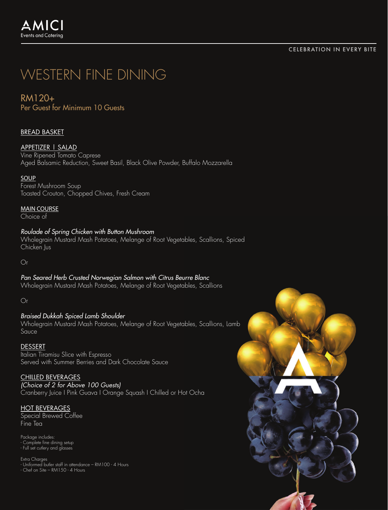#### CELEBRATION IN EVERY BITE

# WESTERN FINE DINING

RM120+

Per Guest for Minimum 10 Guests

# BREAD BASKET

# APPETIZER | SALAD

Vine Ripened Tomato Caprese Aged Balsamic Reduction, Sweet Basil, Black Olive Powder, Buffalo Mozzarella

### **SOUP**

Forest Mushroom Soup Toasted Crouton, Chopped Chives, Fresh Cream

MAIN COURSE

Choice of

# *Roulade of Spring Chicken with Button Mushroom*

Wholegrain Mustard Mash Potatoes, Melange of Root Vegetables, Scallions, Spiced Chicken Jus

 $\bigcap$ 

*Pan Seared Herb Crusted Norwegian Salmon with Citrus Beurre Blanc* Wholegrain Mustard Mash Potatoes, Melange of Root Vegetables, Scallions

Or

## *Braised Dukkah Spiced Lamb Shoulder*  Wholegrain Mustard Mash Potatoes, Melange of Root Vegetables, Scallions, Lamb Sauce

#### **DESSERT**

Italian Tiramisu Slice with Espresso Served with Summer Berries and Dark Chocolate Sauce

#### CHILLED BEVERAGES

*(Choice of 2 for Above 100 Guests)* Cranberry Juice I Pink Guava I Orange Squash I Chilled or Hot Ocha

## HOT BEVERAGES

Special Brewed Coffee Fine Tea

Package includes: - Complete fine dining setup - Full set cutlery and glasses

Extra Charges - Uniformed butler staff in attendance – RM100 - 4 Hours - Chef on Site – RM150 - 4 Hours

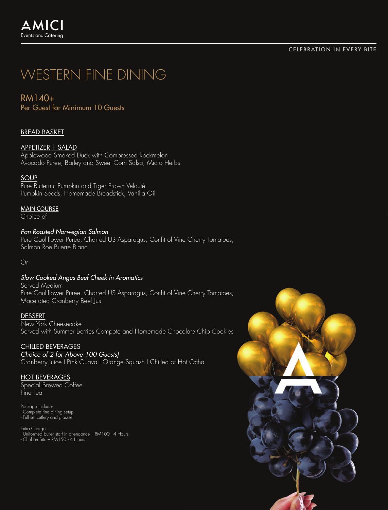#### CELEBRATION IN EVERY BITE

# WESTERN FINE DINING

RM140+

Per Guest for Minimum 10 Guests

# BREAD BASKET

## APPETIZER | SALAD

Applewood Smoked Duck with Compressed Rockmelon Avocado Puree, Barley and Sweet Corn Salsa, Micro Herbs

### **SOUP**

Pure Butternut Pumpkin and Tiger Prawn Velouté Pumpkin Seeds, Homemade Breadstick, Vanilla Oil

MAIN COURSE

Choice of

*Pan Roasted Norwegian Salmon* Pure Cauliflower Puree, Charred US Asparagus, Confit of Vine Cherry Tomatoes, Salmon Roe Buerre Blanc

 $\bigcap$ 

## *Slow Cooked Angus Beef Cheek in Aromatics*

Served Medium Pure Cauliflower Puree, Charred US Asparagus, Confit of Vine Cherry Tomatoes, Macerated Cranberry Beef Jus

## **DESSERT**

New York Cheesecake Served with Summer Berries Compote and Homemade Chocolate Chip Cookies

## CHILLED BEVERAGES

*Choice of 2 for Above 100 Guests)* Cranberry Juice I Pink Guava I Orange Squash I Chilled or Hot Ocha

## HOT BEVERAGES

Special Brewed Coffee Fine Tea

Package includes: - Complete fine dining setup - Full set cutlery and glasses

Extra Charges - Uniformed butler staff in attendance – RM100 - 4 Hours - Chef on Site – RM150 - 4 Hours